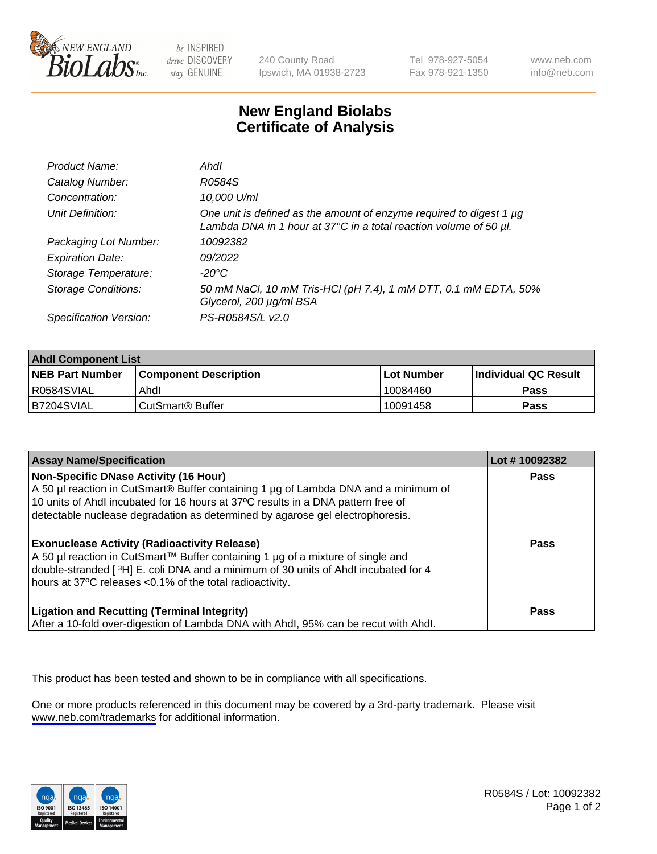

be INSPIRED drive DISCOVERY stay GENUINE

240 County Road Ipswich, MA 01938-2723 Tel 978-927-5054 Fax 978-921-1350

www.neb.com info@neb.com

## **New England Biolabs Certificate of Analysis**

| Product Name:              | Ahdl                                                                                                                                                    |
|----------------------------|---------------------------------------------------------------------------------------------------------------------------------------------------------|
| Catalog Number:            | R0584S                                                                                                                                                  |
| Concentration:             | 10,000 U/ml                                                                                                                                             |
| Unit Definition:           | One unit is defined as the amount of enzyme required to digest 1 µg<br>Lambda DNA in 1 hour at $37^{\circ}$ C in a total reaction volume of 50 $\mu$ l. |
| Packaging Lot Number:      | 10092382                                                                                                                                                |
| <b>Expiration Date:</b>    | 09/2022                                                                                                                                                 |
| Storage Temperature:       | -20°C                                                                                                                                                   |
| <b>Storage Conditions:</b> | 50 mM NaCl, 10 mM Tris-HCl (pH 7.4), 1 mM DTT, 0.1 mM EDTA, 50%<br>Glycerol, 200 µg/ml BSA                                                              |
| Specification Version:     | PS-R0584S/L v2.0                                                                                                                                        |

| <b>Ahdl Component List</b> |                              |             |                             |  |
|----------------------------|------------------------------|-------------|-----------------------------|--|
| <b>NEB Part Number</b>     | <b>Component Description</b> | ⊺Lot Number | <b>Individual QC Result</b> |  |
| R0584SVIAL                 | Ahdl                         | 10084460    | Pass                        |  |
| B7204SVIAL                 | ⊦CutSmart® Buffer            | 10091458    | Pass                        |  |

| <b>Assay Name/Specification</b>                                                                                                                                                                                                                                                                          | Lot #10092382 |
|----------------------------------------------------------------------------------------------------------------------------------------------------------------------------------------------------------------------------------------------------------------------------------------------------------|---------------|
| <b>Non-Specific DNase Activity (16 Hour)</b><br>A 50 µl reaction in CutSmart® Buffer containing 1 µg of Lambda DNA and a minimum of<br>10 units of Ahdl incubated for 16 hours at 37°C results in a DNA pattern free of<br>detectable nuclease degradation as determined by agarose gel electrophoresis. | <b>Pass</b>   |
| <b>Exonuclease Activity (Radioactivity Release)</b><br>A 50 µl reaction in CutSmart™ Buffer containing 1 µg of a mixture of single and<br>double-stranded [3H] E. coli DNA and a minimum of 30 units of Ahdl incubated for 4<br>hours at 37°C releases <0.1% of the total radioactivity.                 | <b>Pass</b>   |
| <b>Ligation and Recutting (Terminal Integrity)</b><br>After a 10-fold over-digestion of Lambda DNA with Ahdl, 95% can be recut with Ahdl.                                                                                                                                                                | <b>Pass</b>   |

This product has been tested and shown to be in compliance with all specifications.

One or more products referenced in this document may be covered by a 3rd-party trademark. Please visit <www.neb.com/trademarks>for additional information.